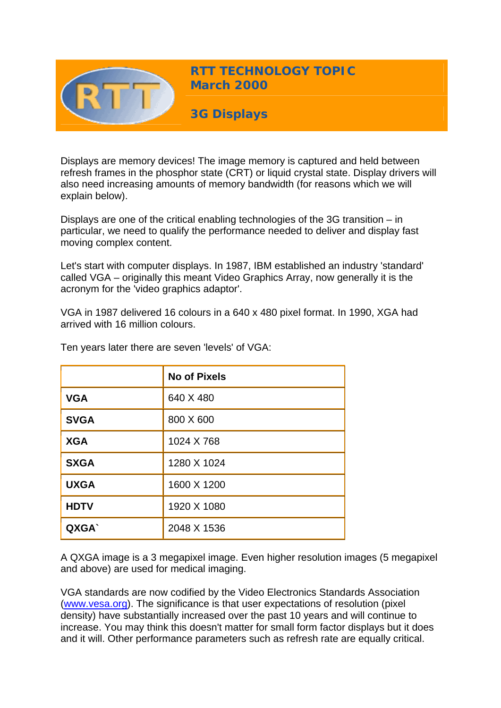

Displays are memory devices! The image memory is captured and held between refresh frames in the phosphor state (CRT) or liquid crystal state. Display drivers will also need increasing amounts of memory bandwidth (for reasons which we will explain below).

Displays are one of the critical enabling technologies of the 3G transition – in particular, we need to qualify the performance needed to deliver and display fast moving complex content.

Let's start with computer displays. In 1987, IBM established an industry 'standard' called VGA – originally this meant Video Graphics Array, now generally it is the acronym for the 'video graphics adaptor'.

VGA in 1987 delivered 16 colours in a 640 x 480 pixel format. In 1990, XGA had arrived with 16 million colours.

|             | <b>No of Pixels</b> |
|-------------|---------------------|
| <b>VGA</b>  | 640 X 480           |
| <b>SVGA</b> | 800 X 600           |
| <b>XGA</b>  | 1024 X 768          |
| <b>SXGA</b> | 1280 X 1024         |
| <b>UXGA</b> | 1600 X 1200         |
| <b>HDTV</b> | 1920 X 1080         |
| QXGA`       | 2048 X 1536         |

Ten years later there are seven 'levels' of VGA:

A QXGA image is a 3 megapixel image. Even higher resolution images (5 megapixel and above) are used for medical imaging.

VGA standards are now codified by the Video Electronics Standards Association ([www.vesa.org](http://www.vesa.org/)). The significance is that user expectations of resolution (pixel density) have substantially increased over the past 10 years and will continue to increase. You may think this doesn't matter for small form factor displays but it does and it will. Other performance parameters such as refresh rate are equally critical.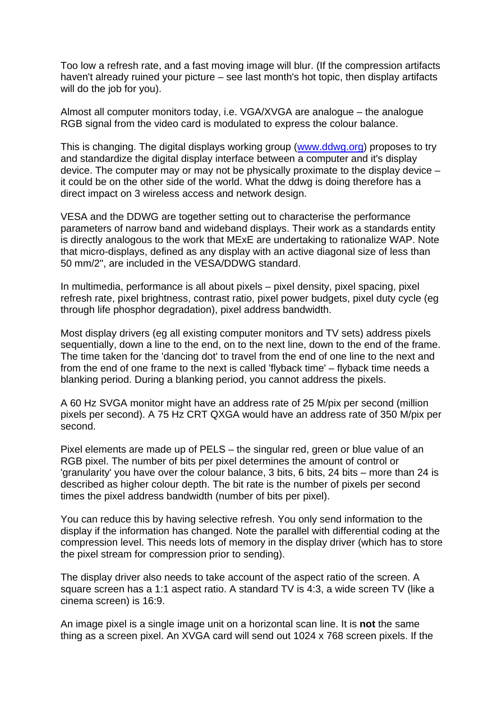Too low a refresh rate, and a fast moving image will blur. (If the compression artifacts haven't already ruined your picture – see last month's hot topic, then display artifacts will do the job for you).

Almost all computer monitors today, i.e. VGA/XVGA are analogue – the analogue RGB signal from the video card is modulated to express the colour balance.

This is changing. The digital displays working group [\(www.ddwg.org](http://www.ddwg.org/)) proposes to try and standardize the digital display interface between a computer and it's display device. The computer may or may not be physically proximate to the display device – it could be on the other side of the world. What the ddwg is doing therefore has a direct impact on 3 wireless access and network design.

VESA and the DDWG are together setting out to characterise the performance parameters of narrow band and wideband displays. Their work as a standards entity is directly analogous to the work that MExE are undertaking to rationalize WAP. Note that micro-displays, defined as any display with an active diagonal size of less than 50 mm/2", are included in the VESA/DDWG standard.

In multimedia, performance is all about pixels – pixel density, pixel spacing, pixel refresh rate, pixel brightness, contrast ratio, pixel power budgets, pixel duty cycle (eg through life phosphor degradation), pixel address bandwidth.

Most display drivers (eg all existing computer monitors and TV sets) address pixels sequentially, down a line to the end, on to the next line, down to the end of the frame. The time taken for the 'dancing dot' to travel from the end of one line to the next and from the end of one frame to the next is called 'flyback time' – flyback time needs a blanking period. During a blanking period, you cannot address the pixels.

A 60 Hz SVGA monitor might have an address rate of 25 M/pix per second (million pixels per second). A 75 Hz CRT QXGA would have an address rate of 350 M/pix per second.

Pixel elements are made up of PELS – the singular red, green or blue value of an RGB pixel. The number of bits per pixel determines the amount of control or 'granularity' you have over the colour balance, 3 bits, 6 bits, 24 bits – more than 24 is described as higher colour depth. The bit rate is the number of pixels per second times the pixel address bandwidth (number of bits per pixel).

You can reduce this by having selective refresh. You only send information to the display if the information has changed. Note the parallel with differential coding at the compression level. This needs lots of memory in the display driver (which has to store the pixel stream for compression prior to sending).

The display driver also needs to take account of the aspect ratio of the screen. A square screen has a 1:1 aspect ratio. A standard TV is 4:3, a wide screen TV (like a cinema screen) is 16:9.

An image pixel is a single image unit on a horizontal scan line. It is **not** the same thing as a screen pixel. An XVGA card will send out 1024 x 768 screen pixels. If the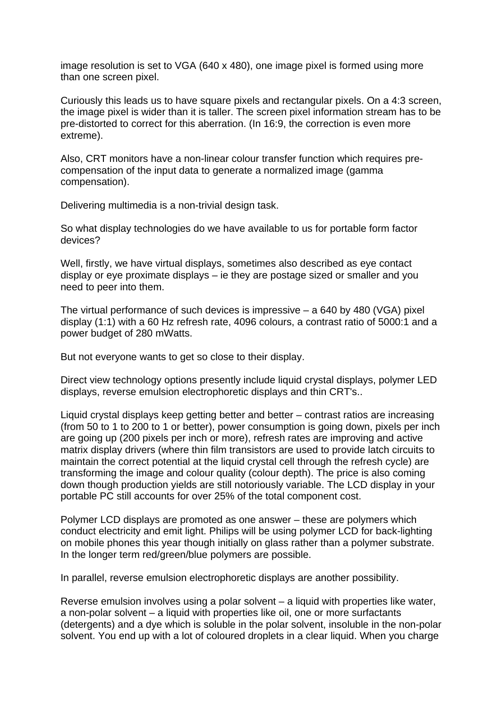image resolution is set to VGA (640 x 480), one image pixel is formed using more than one screen pixel.

Curiously this leads us to have square pixels and rectangular pixels. On a 4:3 screen, the image pixel is wider than it is taller. The screen pixel information stream has to be pre-distorted to correct for this aberration. (In 16:9, the correction is even more extreme).

Also, CRT monitors have a non-linear colour transfer function which requires precompensation of the input data to generate a normalized image (gamma compensation).

Delivering multimedia is a non-trivial design task.

So what display technologies do we have available to us for portable form factor devices?

Well, firstly, we have virtual displays, sometimes also described as eye contact display or eye proximate displays – ie they are postage sized or smaller and you need to peer into them.

The virtual performance of such devices is impressive – a 640 by 480 (VGA) pixel display (1:1) with a 60 Hz refresh rate, 4096 colours, a contrast ratio of 5000:1 and a power budget of 280 mWatts.

But not everyone wants to get so close to their display.

Direct view technology options presently include liquid crystal displays, polymer LED displays, reverse emulsion electrophoretic displays and thin CRT's..

Liquid crystal displays keep getting better and better – contrast ratios are increasing (from 50 to 1 to 200 to 1 or better), power consumption is going down, pixels per inch are going up (200 pixels per inch or more), refresh rates are improving and active matrix display drivers (where thin film transistors are used to provide latch circuits to maintain the correct potential at the liquid crystal cell through the refresh cycle) are transforming the image and colour quality (colour depth). The price is also coming down though production yields are still notoriously variable. The LCD display in your portable PC still accounts for over 25% of the total component cost.

Polymer LCD displays are promoted as one answer – these are polymers which conduct electricity and emit light. Philips will be using polymer LCD for back-lighting on mobile phones this year though initially on glass rather than a polymer substrate. In the longer term red/green/blue polymers are possible.

In parallel, reverse emulsion electrophoretic displays are another possibility.

Reverse emulsion involves using a polar solvent – a liquid with properties like water, a non-polar solvent – a liquid with properties like oil, one or more surfactants (detergents) and a dye which is soluble in the polar solvent, insoluble in the non-polar solvent. You end up with a lot of coloured droplets in a clear liquid. When you charge